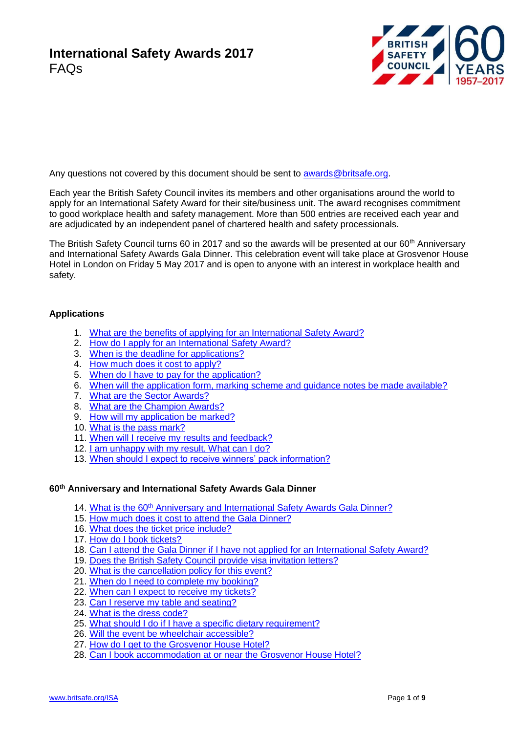# **International Safety Awards 2017** FAQs



Any questions not covered by this document should be sent to [awards@britsafe.org.](mailto:awards@britsafe.org)

Each year the British Safety Council invites its members and other organisations around the world to apply for an International Safety Award for their site/business unit. The award recognises commitment to good workplace health and safety management. More than 500 entries are received each year and are adjudicated by an independent panel of chartered health and safety processionals.

The British Safety Council turns 60 in 2017 and so the awards will be presented at our 60<sup>th</sup> Anniversary and International Safety Awards Gala Dinner. This celebration event will take place at Grosvenor House Hotel in London on Friday 5 May 2017 and is open to anyone with an interest in workplace health and safety.

# **Applications**

- 1. [What are the benefits of applying for an International Safety Award?](#page-1-0)
- 2. [How do I apply for an International Safety Award?](#page-1-1)
- 3. [When is the deadline for applications?](#page-1-2)
- 4. [How much does it cost](#page-1-3) to apply?
- 5. [When do I have to pay for the application?](#page-2-0)
- 6. [When will the application form, marking scheme and guidance notes be made available?](#page-2-1)
- 7. [What are the Sector Awards?](#page-2-2)
- 8. [What are the Champion Awards?](#page-2-2)
- 9. [How will my application be marked?](#page-3-0)
- 10. [What is the pass mark?](#page-3-1)
- 11. [When will I receive my](#page-3-2) results and feedback?
- 12. [I am unhappy with my result. What can I do?](#page-3-3)
- 13. [When should I expect to receive winners' pack information?](#page-3-4)

### **60th Anniversary and International Safety Awards Gala Dinner**

- 14. What is the 60<sup>th</sup> [Anniversary and International Safety Awards Gala Dinner?](#page-4-0)
- 15. [How much does it cost to attend the Gala Dinner?](#page-4-1)
- 16. [What does the ticket price include?](#page-4-2)
- 17. [How do I book tickets?](#page-4-3)
- 18. [Can I attend the Gala Dinner if I have not applied for an International Safety Award?](#page-4-4)
- 19. [Does the British Safety Council provide visa invitation letters?](#page-5-0)
- 20. [What is the cancellation policy for this event?](#page-5-1)
- 21. [When do I need to complete my booking?](#page-5-2)
- 22. [When can I expect to receive my tickets?](#page-5-3)
- 23. [Can I reserve my table and seating?](#page-5-4)
- 24. [What is the dress code?](#page-5-5)
- 25. [What should I do if I have a specific dietary requirement?](#page-5-6)
- 26. [Will the event be wheelchair accessible?](#page-5-7)
- 27. [How do I get to the Grosvenor House Hotel?](#page-5-8)
- 28. [Can I book accommodation at or near the Grosvenor House Hotel?](#page-6-0)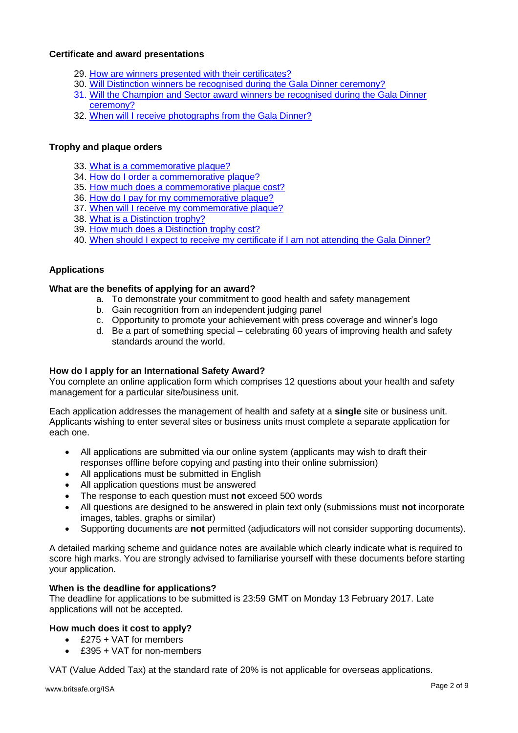# **Certificate and award presentations**

- 29. [How are winners presented with their certificates?](#page-6-1)
- 30. [Will Distinction winners be recognised during the Gala Dinner ceremony?](#page-6-2)
- 31. [Will the Champion and Sector award winners be recognised during the Gala Dinner](#page-6-3)  [ceremony?](#page-6-3)
- 32. [When will I receive photographs from the Gala Dinner?](#page-6-4)

# **Trophy and plaque orders**

- 33. [What is a commemorative plaque?](#page-6-5)
- 34. [How do I order a commemorative plaque?](#page-7-0)
- 35. [How much does a commemorative plaque cost?](#page-7-1)
- 36. [How do I pay for my commemorative plaque?](#page-7-2)
- 37. [When will I receive my commemorative plaque?](#page-7-3)
- 38. [What is a Distinction trophy?](#page-7-4)
- 39. [How much does a Distinction trophy cost?](#page-7-5)
- 40. [When should I expect to receive my certificate if I am not attending the Gala Dinner?](#page-8-0)

# **Applications**

# <span id="page-1-0"></span>**What are the benefits of applying for an award?**

- a. To demonstrate your commitment to good health and safety management
- b. Gain recognition from an independent judging panel
- c. Opportunity to promote your achievement with press coverage and winner's logo
- d. Be a part of something special celebrating 60 years of improving health and safety standards around the world.

# <span id="page-1-1"></span>**How do I apply for an International Safety Award?**

You complete an online application form which comprises 12 questions about your health and safety management for a particular site/business unit.

Each application addresses the management of health and safety at a **single** site or business unit. Applicants wishing to enter several sites or business units must complete a separate application for each one.

- All applications are submitted via our online system (applicants may wish to draft their responses offline before copying and pasting into their online submission)
- All applications must be submitted in English
- All application questions must be answered
- The response to each question must **not** exceed 500 words
- All questions are designed to be answered in plain text only (submissions must **not** incorporate images, tables, graphs or similar)
- Supporting documents are **not** permitted (adjudicators will not consider supporting documents).

A detailed marking scheme and guidance notes are available which clearly indicate what is required to score high marks. You are strongly advised to familiarise yourself with these documents before starting your application.

# <span id="page-1-2"></span>**When is the deadline for applications?**

The deadline for applications to be submitted is 23:59 GMT on Monday 13 February 2017. Late applications will not be accepted.

# <span id="page-1-3"></span>**How much does it cost to apply?**

- £275 + VAT for members
- £395 + VAT for non-members

VAT (Value Added Tax) at the standard rate of 20% is not applicable for overseas applications.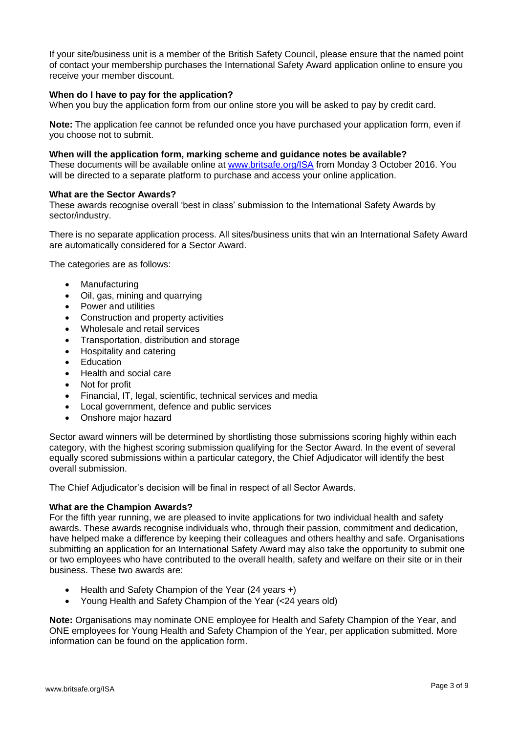If your site/business unit is a member of the British Safety Council, please ensure that the named point of contact your membership purchases the International Safety Award application online to ensure you receive your member discount.

# <span id="page-2-0"></span>**When do I have to pay for the application?**

When you buy the application form from our online store you will be asked to pay by credit card.

**Note:** The application fee cannot be refunded once you have purchased your application form, even if you choose not to submit.

## <span id="page-2-1"></span>**When will the application form, marking scheme and guidance notes be available?**

These documents will be available online at [www.britsafe.org/ISA](http://www.britsafe.org/ISA) from Monday 3 October 2016. You will be directed to a separate platform to purchase and access your online application.

## **What are the Sector Awards?**

These awards recognise overall 'best in class' submission to the International Safety Awards by sector/industry.

There is no separate application process. All sites/business units that win an International Safety Award are automatically considered for a Sector Award.

The categories are as follows:

- Manufacturing
- Oil, gas, mining and quarrying
- Power and utilities
- Construction and property activities
- Wholesale and retail services
- Transportation, distribution and storage
- Hospitality and catering
- **•** Education
- Health and social care
- Not for profit
- Financial, IT, legal, scientific, technical services and media
- Local government, defence and public services
- Onshore major hazard

Sector award winners will be determined by shortlisting those submissions scoring highly within each category, with the highest scoring submission qualifying for the Sector Award. In the event of several equally scored submissions within a particular category, the Chief Adjudicator will identify the best overall submission.

The Chief Adjudicator's decision will be final in respect of all Sector Awards.

### <span id="page-2-2"></span>**What are the Champion Awards?**

For the fifth year running, we are pleased to invite applications for two individual health and safety awards. These awards recognise individuals who, through their passion, commitment and dedication, have helped make a difference by keeping their colleagues and others healthy and safe. Organisations submitting an application for an International Safety Award may also take the opportunity to submit one or two employees who have contributed to the overall health, safety and welfare on their site or in their business. These two awards are:

- Health and Safety Champion of the Year (24 years +)
- Young Health and Safety Champion of the Year (<24 years old)

**Note:** Organisations may nominate ONE employee for Health and Safety Champion of the Year, and ONE employees for Young Health and Safety Champion of the Year, per application submitted. More information can be found on the application form.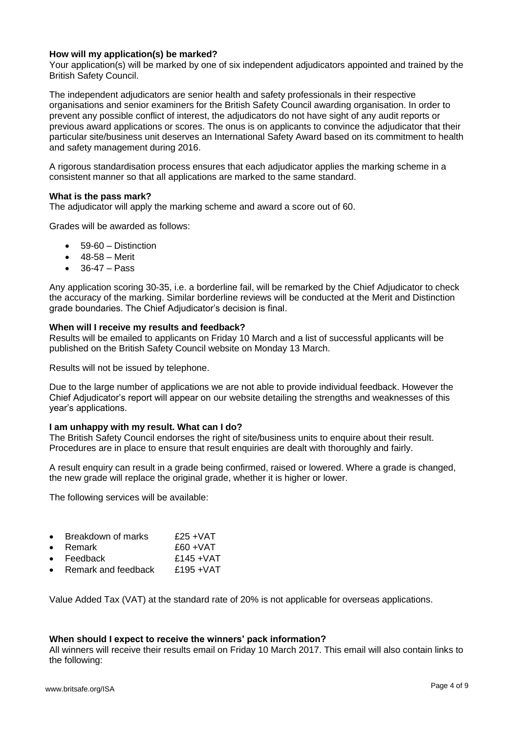# <span id="page-3-0"></span>**How will my application(s) be marked?**

Your application(s) will be marked by one of six independent adjudicators appointed and trained by the British Safety Council.

The independent adjudicators are senior health and safety professionals in their respective organisations and senior examiners for the British Safety Council awarding organisation. In order to prevent any possible conflict of interest, the adjudicators do not have sight of any audit reports or previous award applications or scores. The onus is on applicants to convince the adjudicator that their particular site/business unit deserves an International Safety Award based on its commitment to health and safety management during 2016.

A rigorous standardisation process ensures that each adjudicator applies the marking scheme in a consistent manner so that all applications are marked to the same standard.

## <span id="page-3-1"></span>**What is the pass mark?**

The adjudicator will apply the marking scheme and award a score out of 60.

Grades will be awarded as follows:

- 59-60 Distinction
- $-48-58 -$  Merit
- $-36-47 Pass$

Any application scoring 30-35, i.e. a borderline fail, will be remarked by the Chief Adjudicator to check the accuracy of the marking. Similar borderline reviews will be conducted at the Merit and Distinction grade boundaries. The Chief Adjudicator's decision is final.

### <span id="page-3-2"></span>**When will I receive my results and feedback?**

Results will be emailed to applicants on Friday 10 March and a list of successful applicants will be published on the British Safety Council website on Monday 13 March.

Results will not be issued by telephone.

Due to the large number of applications we are not able to provide individual feedback. However the Chief Adjudicator's report will appear on our website detailing the strengths and weaknesses of this year's applications.

# <span id="page-3-3"></span>**I am unhappy with my result. What can I do?**

The British Safety Council endorses the right of site/business units to enquire about their result. Procedures are in place to ensure that result enquiries are dealt with thoroughly and fairly.

A result enquiry can result in a grade being confirmed, raised or lowered. Where a grade is changed, the new grade will replace the original grade, whether it is higher or lower.

The following services will be available:

| Breakdown of marks | $£25 + VAT$ |
|--------------------|-------------|
|                    |             |

|  | Remark | $£60 + VAT$ |
|--|--------|-------------|
|  |        |             |

- Feedback £145 +VAT
- Remark and feedback £195 +VAT

Value Added Tax (VAT) at the standard rate of 20% is not applicable for overseas applications.

### <span id="page-3-4"></span>**When should I expect to receive the winners' pack information?**

All winners will receive their results email on Friday 10 March 2017. This email will also contain links to the following: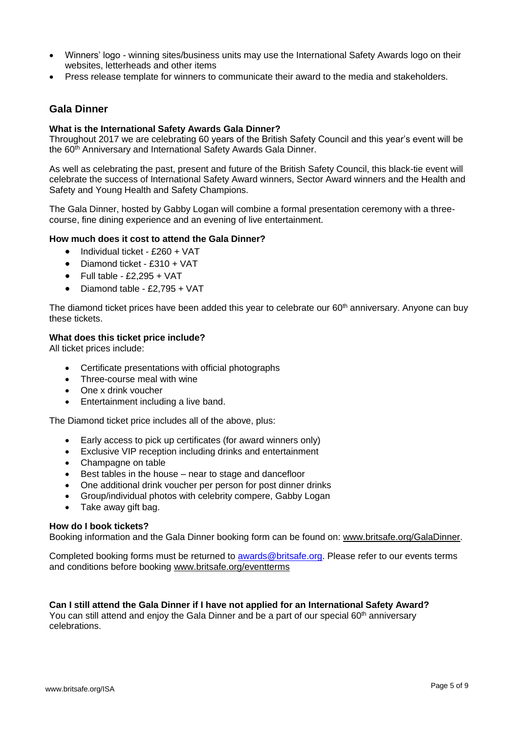- Winners' logo winning sites/business units may use the International Safety Awards logo on their websites, letterheads and other items
- Press release template for winners to communicate their award to the media and stakeholders.

# **Gala Dinner**

## <span id="page-4-0"></span>**What is the International Safety Awards Gala Dinner?**

Throughout 2017 we are celebrating 60 years of the British Safety Council and this year's event will be the 60<sup>th</sup> Anniversary and International Safety Awards Gala Dinner.

As well as celebrating the past, present and future of the British Safety Council, this black-tie event will celebrate the success of International Safety Award winners, Sector Award winners and the Health and Safety and Young Health and Safety Champions.

The Gala Dinner, hosted by Gabby Logan will combine a formal presentation ceremony with a threecourse, fine dining experience and an evening of live entertainment.

### <span id="page-4-1"></span>**How much does it cost to attend the Gala Dinner?**

- $\bullet$  Individual ticket £260 + VAT
- Diamond ticket £310 + VAT
- $\bullet$  Full table £2,295 + VAT
- Diamond table £2,795 + VAT

The diamond ticket prices have been added this year to celebrate our  $60<sup>th</sup>$  anniversary. Anyone can buy these tickets.

## <span id="page-4-2"></span>**What does this ticket price include?**

All ticket prices include:

- Certificate presentations with official photographs
- Three-course meal with wine
- One x drink voucher
- Entertainment including a live band.

The Diamond ticket price includes all of the above, plus:

- Early access to pick up certificates (for award winners only)
- Exclusive VIP reception including drinks and entertainment
- Champagne on table
- Best tables in the house near to stage and dancefloor
- One additional drink voucher per person for post dinner drinks
- Group/individual photos with celebrity compere, Gabby Logan
- Take away gift bag.

#### <span id="page-4-3"></span>**How do I book tickets?**

Booking information and the Gala Dinner booking form can be found on: [www.britsafe.org/GalaDinner.](https://www.britsafe.org/events/international-safety-awards-gala-dinner)

Completed booking forms must be returned to **awards@britsafe.org**. Please refer to our events terms and conditions before booking [www.britsafe.org/eventterms](file:///C:/Users/nicky.glueck/AppData/Local/Microsoft/Windows/nicky.glueck/AppData/Local/Microsoft/Windows/Temporary%20Internet%20Files/Content.Outlook/9PFJPK1Y/www.britsafe.org/eventsterms)

#### <span id="page-4-4"></span>**Can I still attend the Gala Dinner if I have not applied for an International Safety Award?** You can still attend and enjoy the Gala Dinner and be a part of our special  $60<sup>th</sup>$  anniversary celebrations.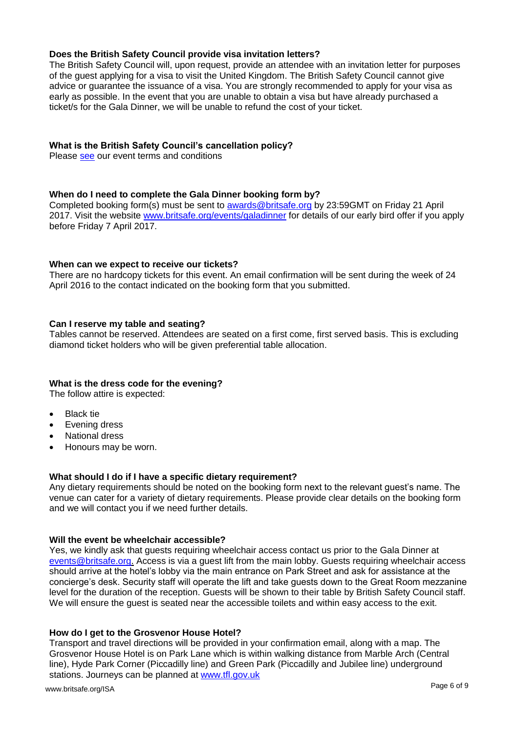# <span id="page-5-0"></span>**Does the British Safety Council provide visa invitation letters?**

The British Safety Council will, upon request, provide an attendee with an invitation letter for purposes of the guest applying for a visa to visit the United Kingdom. The British Safety Council cannot give advice or guarantee the issuance of a visa. You are strongly recommended to apply for your visa as early as possible. In the event that you are unable to obtain a visa but have already purchased a ticket/s for the Gala Dinner, we will be unable to refund the cost of your ticket.

## <span id="page-5-1"></span>**What is the British Safety Council's cancellation policy?**

Please [see](https://www.britsafe.org/eventterms) our event terms and conditions

## <span id="page-5-2"></span>**When do I need to complete the Gala Dinner booking form by?**

Completed booking form(s) must be sent to [awards@britsafe.org](mailto:awards@britsafe.org) by 23:59GMT on Friday 21 April 2017. Visit the website [www.britsafe.org/events/galadinner](http://www.britsafe.org/events/galadinner) for details of our early bird offer if you apply before Friday 7 April 2017.

## <span id="page-5-3"></span>**When can we expect to receive our tickets?**

There are no hardcopy tickets for this event. An email confirmation will be sent during the week of 24 April 2016 to the contact indicated on the booking form that you submitted.

# <span id="page-5-4"></span>**Can I reserve my table and seating?**

Tables cannot be reserved. Attendees are seated on a first come, first served basis. This is excluding diamond ticket holders who will be given preferential table allocation.

### <span id="page-5-5"></span>**What is the dress code for the evening?**

The follow attire is expected:

- Black tie
- Evening dress
- National dress
- Honours may be worn.

# <span id="page-5-6"></span>**What should I do if I have a specific dietary requirement?**

Any dietary requirements should be noted on the booking form next to the relevant guest's name. The venue can cater for a variety of dietary requirements. Please provide clear details on the booking form and we will contact you if we need further details.

### <span id="page-5-7"></span>**Will the event be wheelchair accessible?**

Yes, we kindly ask that guests requiring wheelchair access contact us prior to the Gala Dinner at [events@britsafe.org.](mailto:events@britsafe.org) Access is via a guest lift from the main lobby. Guests requiring wheelchair access should arrive at the hotel's lobby via the main entrance on Park Street and ask for assistance at the concierge's desk. Security staff will operate the lift and take guests down to the Great Room mezzanine level for the duration of the reception. Guests will be shown to their table by British Safety Council staff. We will ensure the guest is seated near the accessible toilets and within easy access to the exit.

# <span id="page-5-8"></span>**How do I get to the Grosvenor House Hotel?**

Transport and travel directions will be provided in your confirmation email, along with a map. The Grosvenor House Hotel is on Park Lane which is within walking distance from Marble Arch (Central line), Hyde Park Corner (Piccadilly line) and Green Park (Piccadilly and Jubilee line) underground stations. Journeys can be planned at [www.tfl.gov.uk](http://www.tfl.gov.uk/)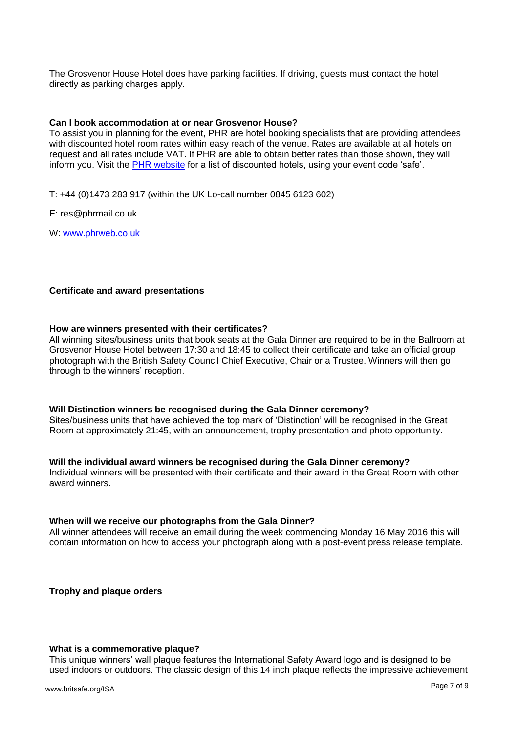The Grosvenor House Hotel does have parking facilities. If driving, guests must contact the hotel directly as parking charges apply.

#### <span id="page-6-0"></span>**Can I book accommodation at or near Grosvenor House?**

To assist you in planning for the event, PHR are hotel booking specialists that are providing attendees with discounted hotel room rates within easy reach of the venue. Rates are available at all hotels on request and all rates include VAT. If PHR are able to obtain better rates than those shown, they will inform you. Visit the **PHR website** for a list of discounted hotels, using your event code 'safe'.

T: +44 (0)1473 283 917 (within the UK Lo-call number 0845 6123 602)

E: res@phrmail.co.uk

W: [www.phrweb.co.uk](http://www.phrweb.co.uk/)

### **Certificate and award presentations**

#### <span id="page-6-1"></span>**How are winners presented with their certificates?**

All winning sites/business units that book seats at the Gala Dinner are required to be in the Ballroom at Grosvenor House Hotel between 17:30 and 18:45 to collect their certificate and take an official group photograph with the British Safety Council Chief Executive, Chair or a Trustee. Winners will then go through to the winners' reception.

#### <span id="page-6-2"></span>**Will Distinction winners be recognised during the Gala Dinner ceremony?**

Sites/business units that have achieved the top mark of 'Distinction' will be recognised in the Great Room at approximately 21:45, with an announcement, trophy presentation and photo opportunity.

#### <span id="page-6-3"></span>**Will the individual award winners be recognised during the Gala Dinner ceremony?**

Individual winners will be presented with their certificate and their award in the Great Room with other award winners.

#### <span id="page-6-4"></span>**When will we receive our photographs from the Gala Dinner?**

All winner attendees will receive an email during the week commencing Monday 16 May 2016 this will contain information on how to access your photograph along with a post-event press release template.

**Trophy and plaque orders**

#### <span id="page-6-5"></span>**What is a commemorative plaque?**

This unique winners' wall plaque features the International Safety Award logo and is designed to be used indoors or outdoors. The classic design of this 14 inch plaque reflects the impressive achievement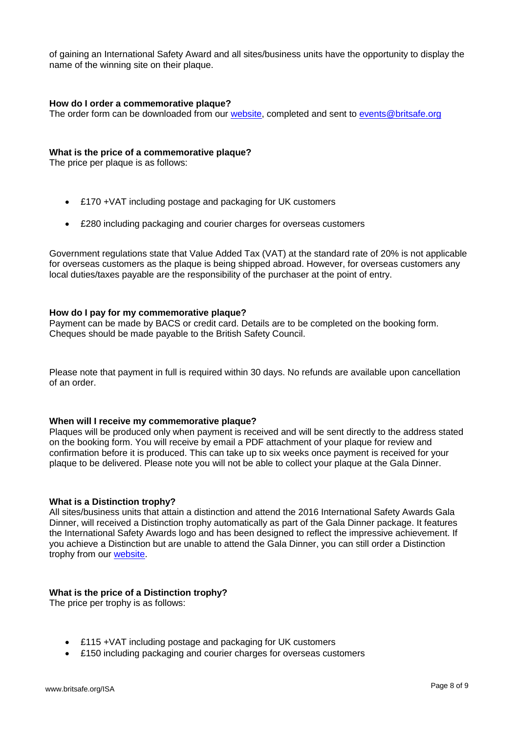of gaining an International Safety Award and all sites/business units have the opportunity to display the name of the winning site on their plaque.

## <span id="page-7-0"></span>**How do I order a commemorative plaque?**

The order form can be downloaded from our [website,](https://www.britsafe.org/events/international-safety-awards-gala-dinner) completed and sent to [events@britsafe.org](mailto:events@britsafe.org)

## <span id="page-7-1"></span>**What is the price of a commemorative plaque?**

The price per plaque is as follows:

- £170 +VAT including postage and packaging for UK customers
- £280 including packaging and courier charges for overseas customers

Government regulations state that Value Added Tax (VAT) at the standard rate of 20% is not applicable for overseas customers as the plaque is being shipped abroad. However, for overseas customers any local duties/taxes payable are the responsibility of the purchaser at the point of entry.

## <span id="page-7-2"></span>**How do I pay for my commemorative plaque?**

Payment can be made by BACS or credit card. Details are to be completed on the booking form. Cheques should be made payable to the British Safety Council.

Please note that payment in full is required within 30 days. No refunds are available upon cancellation of an order.

### <span id="page-7-3"></span>**When will I receive my commemorative plaque?**

Plaques will be produced only when payment is received and will be sent directly to the address stated on the booking form. You will receive by email a PDF attachment of your plaque for review and confirmation before it is produced. This can take up to six weeks once payment is received for your plaque to be delivered. Please note you will not be able to collect your plaque at the Gala Dinner.

### <span id="page-7-4"></span>**What is a Distinction trophy?**

All sites/business units that attain a distinction and attend the 2016 International Safety Awards Gala Dinner, will received a Distinction trophy automatically as part of the Gala Dinner package. It features the International Safety Awards logo and has been designed to reflect the impressive achievement. If you achieve a Distinction but are unable to attend the Gala Dinner, you can still order a Distinction trophy from our [website.](https://www.britsafe.org/events/international-safety-awards-gala-dinner)

# <span id="page-7-5"></span>**What is the price of a Distinction trophy?**

The price per trophy is as follows:

- £115 +VAT including postage and packaging for UK customers
- £150 including packaging and courier charges for overseas customers